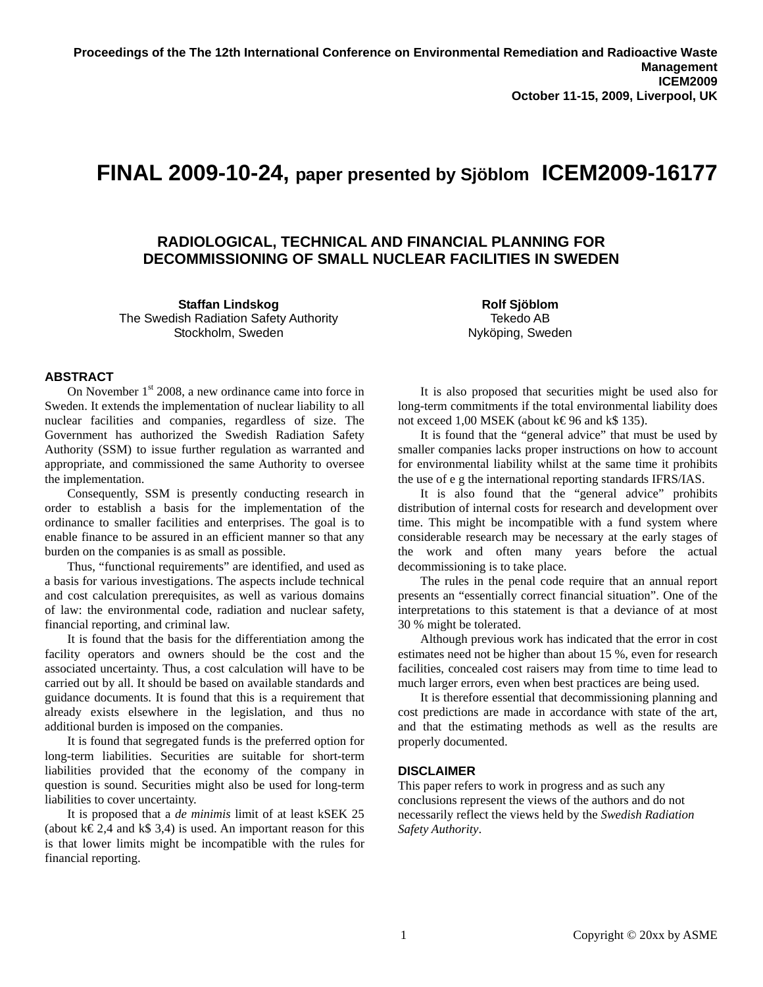# **FINAL 2009-10-24, paper presented by Sjöblom ICEM2009-16177**

# **RADIOLOGICAL, TECHNICAL AND FINANCIAL PLANNING FOR DECOMMISSIONING OF SMALL NUCLEAR FACILITIES IN SWEDEN**

**Staffan Lindskog**  The Swedish Radiation Safety Authority Stockholm, Sweden

**Rolf Sjöblom**  Tekedo AB Nyköping, Sweden

# **ABSTRACT**

On November  $1<sup>st</sup>$  2008, a new ordinance came into force in Sweden. It extends the implementation of nuclear liability to all nuclear facilities and companies, regardless of size. The Government has authorized the Swedish Radiation Safety Authority (SSM) to issue further regulation as warranted and appropriate, and commissioned the same Authority to oversee the implementation.

Consequently, SSM is presently conducting research in order to establish a basis for the implementation of the ordinance to smaller facilities and enterprises. The goal is to enable finance to be assured in an efficient manner so that any burden on the companies is as small as possible.

Thus, "functional requirements" are identified, and used as a basis for various investigations. The aspects include technical and cost calculation prerequisites, as well as various domains of law: the environmental code, radiation and nuclear safety, financial reporting, and criminal law.

It is found that the basis for the differentiation among the facility operators and owners should be the cost and the associated uncertainty. Thus, a cost calculation will have to be carried out by all. It should be based on available standards and guidance documents. It is found that this is a requirement that already exists elsewhere in the legislation, and thus no additional burden is imposed on the companies.

It is found that segregated funds is the preferred option for long-term liabilities. Securities are suitable for short-term liabilities provided that the economy of the company in question is sound. Securities might also be used for long-term liabilities to cover uncertainty.

It is proposed that a *de minimis* limit of at least kSEK 25 (about k $\epsilon$ 2,4 and k\$ 3,4) is used. An important reason for this is that lower limits might be incompatible with the rules for financial reporting.

It is also proposed that securities might be used also for long-term commitments if the total environmental liability does not exceed 1,00 MSEK (about k€96 and k\$ 135).

It is found that the "general advice" that must be used by smaller companies lacks proper instructions on how to account for environmental liability whilst at the same time it prohibits the use of e g the international reporting standards IFRS/IAS.

It is also found that the "general advice" prohibits distribution of internal costs for research and development over time. This might be incompatible with a fund system where considerable research may be necessary at the early stages of the work and often many years before the actual decommissioning is to take place.

The rules in the penal code require that an annual report presents an "essentially correct financial situation". One of the interpretations to this statement is that a deviance of at most 30 % might be tolerated.

Although previous work has indicated that the error in cost estimates need not be higher than about 15 %, even for research facilities, concealed cost raisers may from time to time lead to much larger errors, even when best practices are being used.

It is therefore essential that decommissioning planning and cost predictions are made in accordance with state of the art, and that the estimating methods as well as the results are properly documented.

#### **DISCLAIMER**

This paper refers to work in progress and as such any conclusions represent the views of the authors and do not necessarily reflect the views held by the *Swedish Radiation Safety Authority*.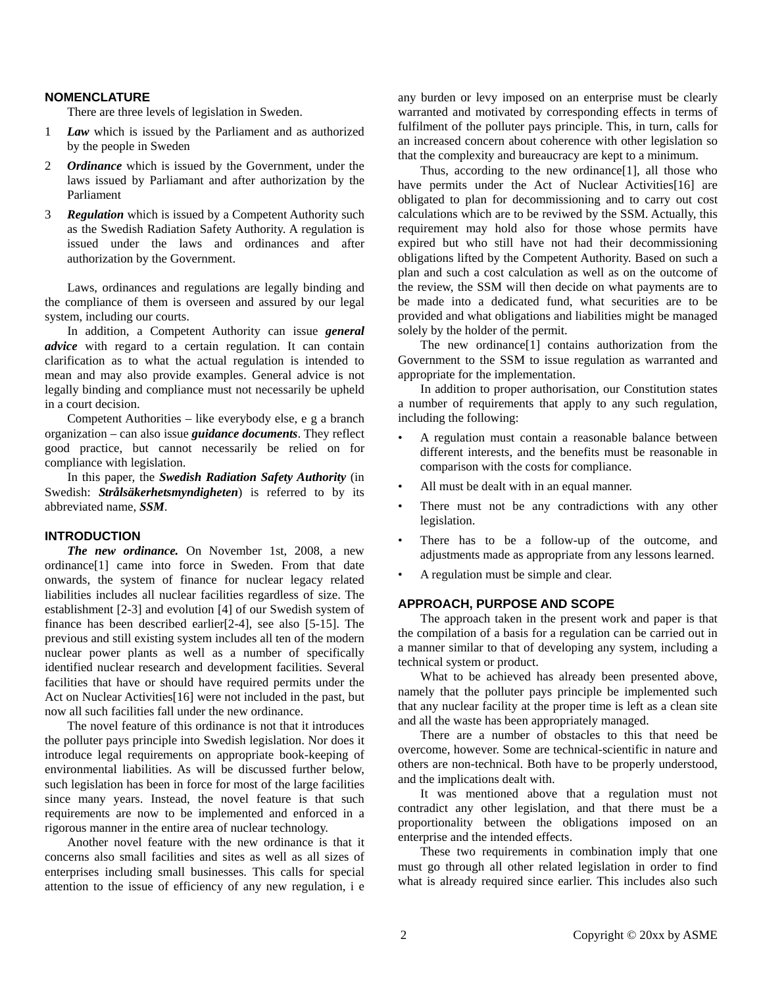#### **NOMENCLATURE**

There are three levels of legislation in Sweden.

- 1 *Law* which is issued by the Parliament and as authorized by the people in Sweden
- 2 *Ordinance* which is issued by the Government, under the laws issued by Parliamant and after authorization by the Parliament
- 3 *Regulation* which is issued by a Competent Authority such as the Swedish Radiation Safety Authority. A regulation is issued under the laws and ordinances and after authorization by the Government.

Laws, ordinances and regulations are legally binding and the compliance of them is overseen and assured by our legal system, including our courts.

In addition, a Competent Authority can issue *general advice* with regard to a certain regulation. It can contain clarification as to what the actual regulation is intended to mean and may also provide examples. General advice is not legally binding and compliance must not necessarily be upheld in a court decision.

Competent Authorities – like everybody else, e g a branch organization – can also issue *guidance documents*. They reflect good practice, but cannot necessarily be relied on for compliance with legislation.

In this paper, the *Swedish Radiation Safety Authority* (in Swedish: *Strålsäkerhetsmyndigheten*) is referred to by its abbreviated name, *SSM*.

#### **INTRODUCTION**

*The new ordinance.* On November 1st, 2008, a new ordinance[1] came into force in Sweden. From that date onwards, the system of finance for nuclear legacy related liabilities includes all nuclear facilities regardless of size. The establishment [2-3] and evolution [4] of our Swedish system of finance has been described earlier[2-4], see also [5-15]. The previous and still existing system includes all ten of the modern nuclear power plants as well as a number of specifically identified nuclear research and development facilities. Several facilities that have or should have required permits under the Act on Nuclear Activities[16] were not included in the past, but now all such facilities fall under the new ordinance.

The novel feature of this ordinance is not that it introduces the polluter pays principle into Swedish legislation. Nor does it introduce legal requirements on appropriate book-keeping of environmental liabilities. As will be discussed further below, such legislation has been in force for most of the large facilities since many years. Instead, the novel feature is that such requirements are now to be implemented and enforced in a rigorous manner in the entire area of nuclear technology.

Another novel feature with the new ordinance is that it concerns also small facilities and sites as well as all sizes of enterprises including small businesses. This calls for special attention to the issue of efficiency of any new regulation, i e any burden or levy imposed on an enterprise must be clearly warranted and motivated by corresponding effects in terms of fulfilment of the polluter pays principle. This, in turn, calls for an increased concern about coherence with other legislation so that the complexity and bureaucracy are kept to a minimum.

Thus, according to the new ordinance[1], all those who have permits under the Act of Nuclear Activities[16] are obligated to plan for decommissioning and to carry out cost calculations which are to be reviwed by the SSM. Actually, this requirement may hold also for those whose permits have expired but who still have not had their decommissioning obligations lifted by the Competent Authority. Based on such a plan and such a cost calculation as well as on the outcome of the review, the SSM will then decide on what payments are to be made into a dedicated fund, what securities are to be provided and what obligations and liabilities might be managed solely by the holder of the permit.

The new ordinance<sup>[1]</sup> contains authorization from the Government to the SSM to issue regulation as warranted and appropriate for the implementation.

In addition to proper authorisation, our Constitution states a number of requirements that apply to any such regulation, including the following:

- A regulation must contain a reasonable balance between different interests, and the benefits must be reasonable in comparison with the costs for compliance.
- All must be dealt with in an equal manner.
- There must not be any contradictions with any other legislation.
- There has to be a follow-up of the outcome, and adjustments made as appropriate from any lessons learned.
- A regulation must be simple and clear.

# **APPROACH, PURPOSE AND SCOPE**

The approach taken in the present work and paper is that the compilation of a basis for a regulation can be carried out in a manner similar to that of developing any system, including a technical system or product.

What to be achieved has already been presented above, namely that the polluter pays principle be implemented such that any nuclear facility at the proper time is left as a clean site and all the waste has been appropriately managed.

There are a number of obstacles to this that need be overcome, however. Some are technical-scientific in nature and others are non-technical. Both have to be properly understood, and the implications dealt with.

It was mentioned above that a regulation must not contradict any other legislation, and that there must be a proportionality between the obligations imposed on an enterprise and the intended effects.

These two requirements in combination imply that one must go through all other related legislation in order to find what is already required since earlier. This includes also such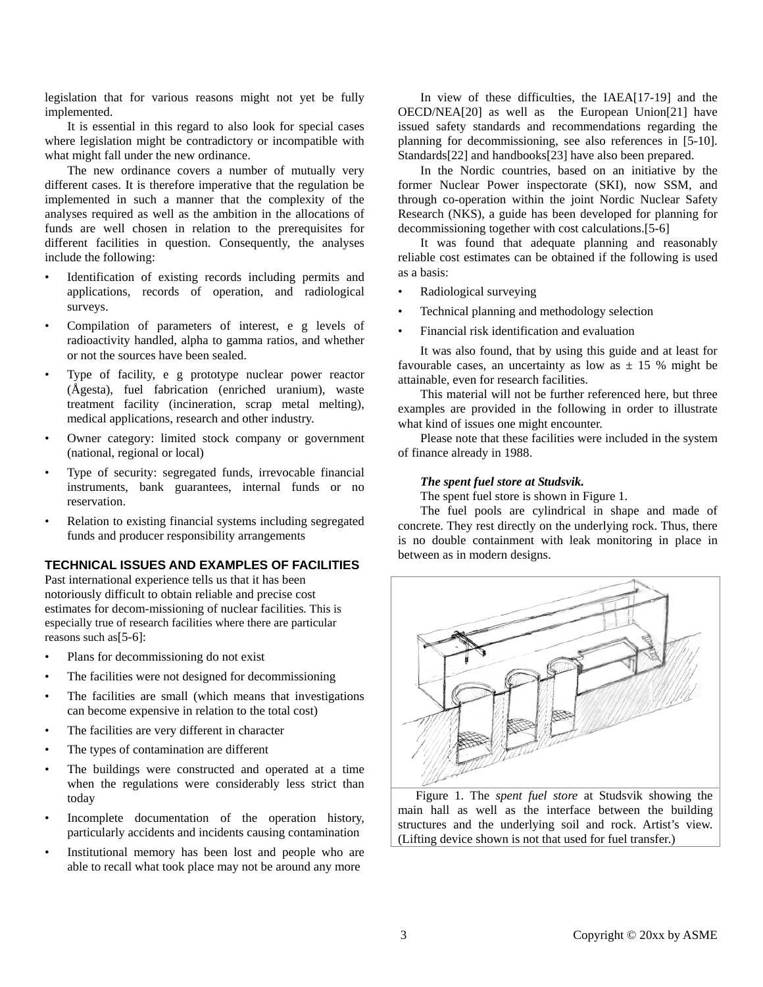legislation that for various reasons might not yet be fully implemented.

It is essential in this regard to also look for special cases where legislation might be contradictory or incompatible with what might fall under the new ordinance.

The new ordinance covers a number of mutually very different cases. It is therefore imperative that the regulation be implemented in such a manner that the complexity of the analyses required as well as the ambition in the allocations of funds are well chosen in relation to the prerequisites for different facilities in question. Consequently, the analyses include the following:

- Identification of existing records including permits and applications, records of operation, and radiological surveys.
- Compilation of parameters of interest, e g levels of radioactivity handled, alpha to gamma ratios, and whether or not the sources have been sealed.
- Type of facility, e g prototype nuclear power reactor (Ågesta), fuel fabrication (enriched uranium), waste treatment facility (incineration, scrap metal melting), medical applications, research and other industry.
- Owner category: limited stock company or government (national, regional or local)
- Type of security: segregated funds, irrevocable financial instruments, bank guarantees, internal funds or no reservation.
- Relation to existing financial systems including segregated funds and producer responsibility arrangements

# **TECHNICAL ISSUES AND EXAMPLES OF FACILITIES**

Past international experience tells us that it has been notoriously difficult to obtain reliable and precise cost estimates for decom-missioning of nuclear facilities. This is especially true of research facilities where there are particular reasons such as[5-6]:

- Plans for decommissioning do not exist
- The facilities were not designed for decommissioning
- The facilities are small (which means that investigations can become expensive in relation to the total cost)
- The facilities are very different in character
- The types of contamination are different
- The buildings were constructed and operated at a time when the regulations were considerably less strict than today
- Incomplete documentation of the operation history, particularly accidents and incidents causing contamination
- Institutional memory has been lost and people who are able to recall what took place may not be around any more

In view of these difficulties, the IAEA[17-19] and the OECD/NEA[20] as well as the European Union[21] have issued safety standards and recommendations regarding the planning for decommissioning, see also references in [5-10]. Standards[22] and handbooks[23] have also been prepared.

In the Nordic countries, based on an initiative by the former Nuclear Power inspectorate (SKI), now SSM, and through co-operation within the joint Nordic Nuclear Safety Research (NKS), a guide has been developed for planning for decommissioning together with cost calculations.[5-6]

It was found that adequate planning and reasonably reliable cost estimates can be obtained if the following is used as a basis:

- Radiological surveying
- Technical planning and methodology selection
- Financial risk identification and evaluation

It was also found, that by using this guide and at least for favourable cases, an uncertainty as low as  $\pm$  15 % might be attainable, even for research facilities.

This material will not be further referenced here, but three examples are provided in the following in order to illustrate what kind of issues one might encounter.

Please note that these facilities were included in the system of finance already in 1988.

#### *The spent fuel store at Studsvik.*

The spent fuel store is shown in Figure 1.

The fuel pools are cylindrical in shape and made of concrete. They rest directly on the underlying rock. Thus, there is no double containment with leak monitoring in place in between as in modern designs.



Figure 1. The *spent fuel store* at Studsvik showing the main hall as well as the interface between the building structures and the underlying soil and rock. Artist's view. (Lifting device shown is not that used for fuel transfer.)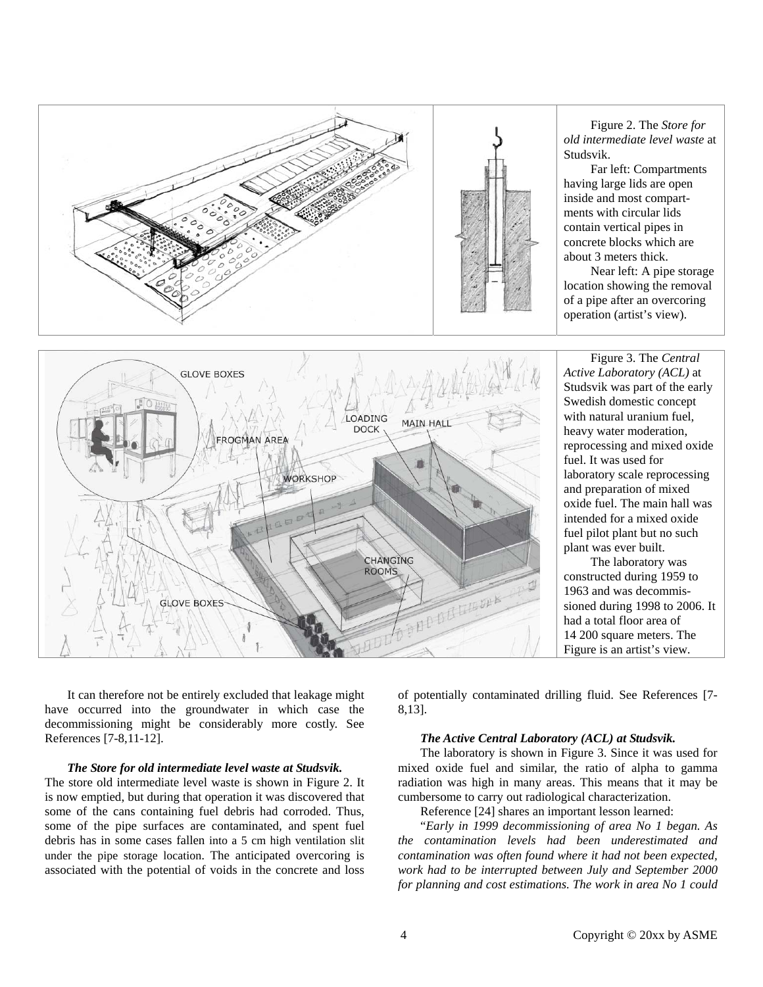

Figure 2. The *Store for old intermediate level waste* at

location showing the removal

14 200 square meters. The Figure is an artist's view.

It can therefore not be entirely excluded that leakage might have occurred into the groundwater in which case the decommissioning might be considerably more costly. See References [7-8,11-12].

*The Store for old intermediate level waste at Studsvik.* 

The store old intermediate level waste is shown in Figure 2. It is now emptied, but during that operation it was discovered that some of the cans containing fuel debris had corroded. Thus, some of the pipe surfaces are contaminated, and spent fuel debris has in some cases fallen into a 5 cm high ventilation slit under the pipe storage location. The anticipated overcoring is associated with the potential of voids in the concrete and loss of potentially contaminated drilling fluid. See References [7- 8,13].

#### *The Active Central Laboratory (ACL) at Studsvik.*

The laboratory is shown in Figure 3. Since it was used for mixed oxide fuel and similar, the ratio of alpha to gamma radiation was high in many areas. This means that it may be cumbersome to carry out radiological characterization.

Reference [24] shares an important lesson learned:

"*Early in 1999 decommissioning of area No 1 began. As the contamination levels had been underestimated and contamination was often found where it had not been expected, work had to be interrupted between July and September 2000 for planning and cost estimations. The work in area No 1 could*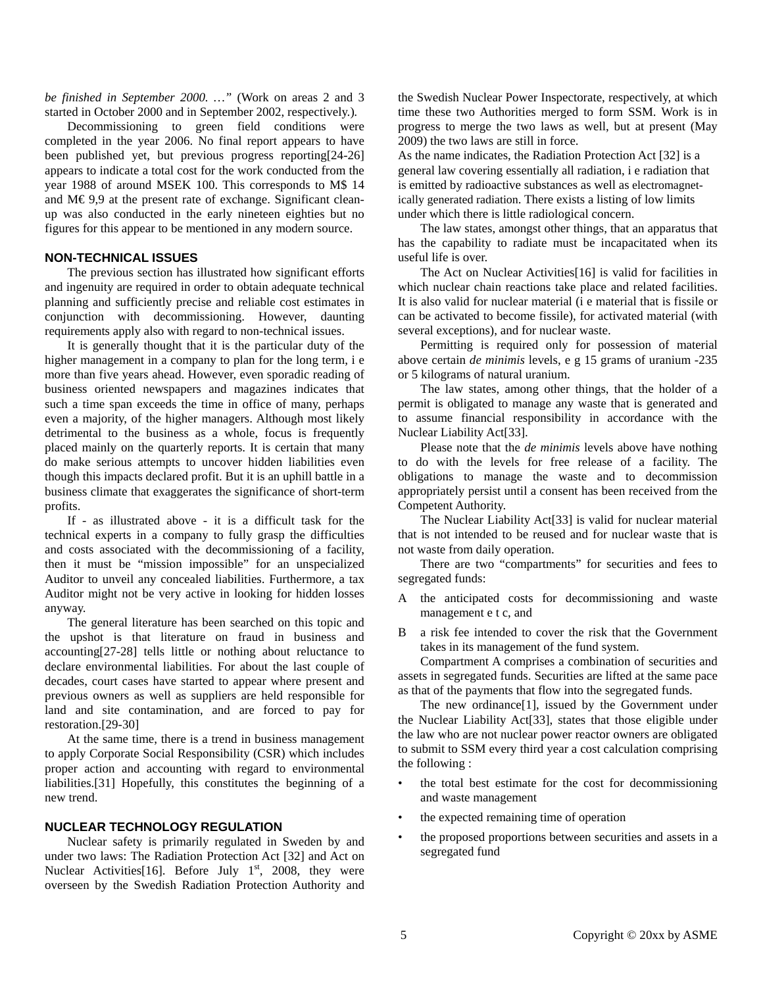*be finished in September 2000. …"* (Work on areas 2 and 3 started in October 2000 and in September 2002, respectively.)*.*

Decommissioning to green field conditions were completed in the year 2006. No final report appears to have been published yet, but previous progress reporting[24-26] appears to indicate a total cost for the work conducted from the year 1988 of around MSEK 100. This corresponds to M\$ 14 and M€ 9,9 at the present rate of exchange. Significant cleanup was also conducted in the early nineteen eighties but no figures for this appear to be mentioned in any modern source.

#### **NON-TECHNICAL ISSUES**

The previous section has illustrated how significant efforts and ingenuity are required in order to obtain adequate technical planning and sufficiently precise and reliable cost estimates in conjunction with decommissioning. However, daunting requirements apply also with regard to non-technical issues.

It is generally thought that it is the particular duty of the higher management in a company to plan for the long term, i e more than five years ahead. However, even sporadic reading of business oriented newspapers and magazines indicates that such a time span exceeds the time in office of many, perhaps even a majority, of the higher managers. Although most likely detrimental to the business as a whole, focus is frequently placed mainly on the quarterly reports. It is certain that many do make serious attempts to uncover hidden liabilities even though this impacts declared profit. But it is an uphill battle in a business climate that exaggerates the significance of short-term profits.

If - as illustrated above - it is a difficult task for the technical experts in a company to fully grasp the difficulties and costs associated with the decommissioning of a facility, then it must be "mission impossible" for an unspecialized Auditor to unveil any concealed liabilities. Furthermore, a tax Auditor might not be very active in looking for hidden losses anyway.

The general literature has been searched on this topic and the upshot is that literature on fraud in business and accounting[27-28] tells little or nothing about reluctance to declare environmental liabilities. For about the last couple of decades, court cases have started to appear where present and previous owners as well as suppliers are held responsible for land and site contamination, and are forced to pay for restoration.[29-30]

At the same time, there is a trend in business management to apply Corporate Social Responsibility (CSR) which includes proper action and accounting with regard to environmental liabilities.[31] Hopefully, this constitutes the beginning of a new trend.

#### **NUCLEAR TECHNOLOGY REGULATION**

Nuclear safety is primarily regulated in Sweden by and under two laws: The Radiation Protection Act [32] and Act on Nuclear Activities[16]. Before July  $1<sup>st</sup>$ , 2008, they were overseen by the Swedish Radiation Protection Authority and the Swedish Nuclear Power Inspectorate, respectively, at which time these two Authorities merged to form SSM. Work is in progress to merge the two laws as well, but at present (May 2009) the two laws are still in force.

As the name indicates, the Radiation Protection Act [32] is a general law covering essentially all radiation, i e radiation that is emitted by radioactive substances as well as electromagnetically generated radiation. There exists a listing of low limits under which there is little radiological concern.

The law states, amongst other things, that an apparatus that has the capability to radiate must be incapacitated when its useful life is over.

The Act on Nuclear Activities[16] is valid for facilities in which nuclear chain reactions take place and related facilities. It is also valid for nuclear material (i e material that is fissile or can be activated to become fissile), for activated material (with several exceptions), and for nuclear waste.

Permitting is required only for possession of material above certain *de minimis* levels, e g 15 grams of uranium -235 or 5 kilograms of natural uranium.

The law states, among other things, that the holder of a permit is obligated to manage any waste that is generated and to assume financial responsibility in accordance with the Nuclear Liability Act[33].

Please note that the *de minimis* levels above have nothing to do with the levels for free release of a facility. The obligations to manage the waste and to decommission appropriately persist until a consent has been received from the Competent Authority.

The Nuclear Liability Act[33] is valid for nuclear material that is not intended to be reused and for nuclear waste that is not waste from daily operation.

There are two "compartments" for securities and fees to segregated funds:

- A the anticipated costs for decommissioning and waste management e t c, and
- B a risk fee intended to cover the risk that the Government takes in its management of the fund system.

Compartment A comprises a combination of securities and assets in segregated funds. Securities are lifted at the same pace as that of the payments that flow into the segregated funds.

The new ordinance[1], issued by the Government under the Nuclear Liability Act[33], states that those eligible under the law who are not nuclear power reactor owners are obligated to submit to SSM every third year a cost calculation comprising the following :

- the total best estimate for the cost for decommissioning and waste management
- the expected remaining time of operation
- the proposed proportions between securities and assets in a segregated fund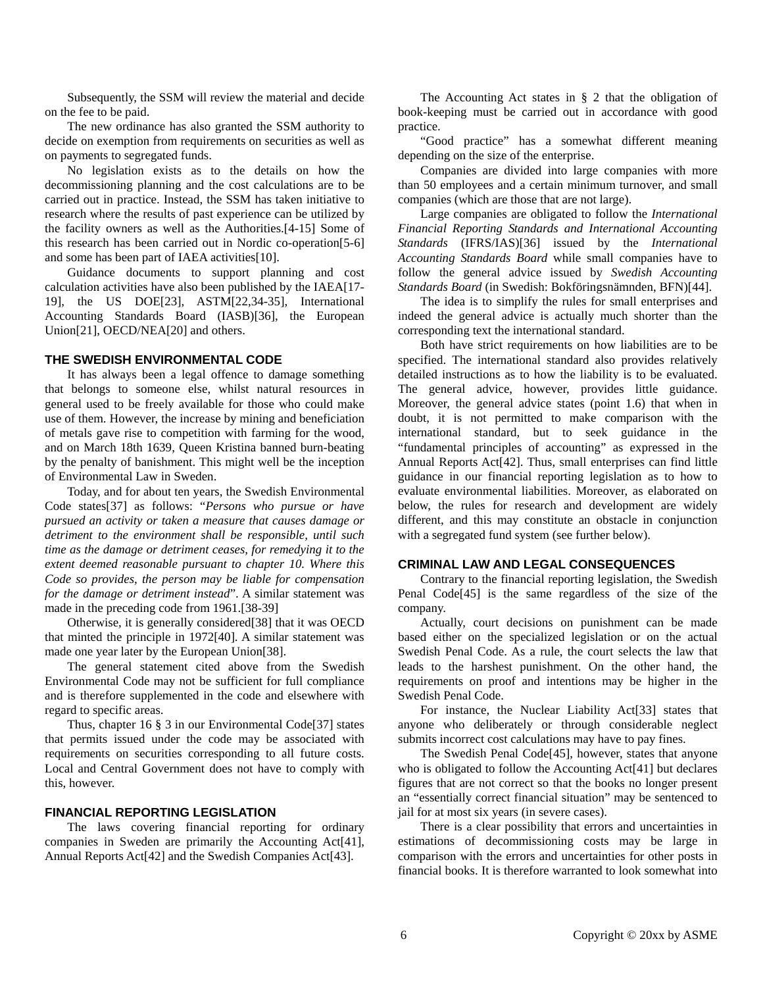Subsequently, the SSM will review the material and decide on the fee to be paid.

The new ordinance has also granted the SSM authority to decide on exemption from requirements on securities as well as on payments to segregated funds.

No legislation exists as to the details on how the decommissioning planning and the cost calculations are to be carried out in practice. Instead, the SSM has taken initiative to research where the results of past experience can be utilized by the facility owners as well as the Authorities.[4-15] Some of this research has been carried out in Nordic co-operation[5-6] and some has been part of IAEA activities[10].

Guidance documents to support planning and cost calculation activities have also been published by the IAEA[17- 19], the US DOE[23], ASTM[22,34-35], International Accounting Standards Board (IASB)[36], the European Union[21], OECD/NEA[20] and others.

#### **THE SWEDISH ENVIRONMENTAL CODE**

It has always been a legal offence to damage something that belongs to someone else, whilst natural resources in general used to be freely available for those who could make use of them. However, the increase by mining and beneficiation of metals gave rise to competition with farming for the wood, and on March 18th 1639, Queen Kristina banned burn-beating by the penalty of banishment. This might well be the inception of Environmental Law in Sweden.

Today, and for about ten years, the Swedish Environmental Code states[37] as follows: "*Persons who pursue or have pursued an activity or taken a measure that causes damage or detriment to the environment shall be responsible, until such time as the damage or detriment ceases, for remedying it to the extent deemed reasonable pursuant to chapter 10. Where this Code so provides, the person may be liable for compensation for the damage or detriment instead*". A similar statement was made in the preceding code from 1961.[38-39]

Otherwise, it is generally considered[38] that it was OECD that minted the principle in 1972[40]. A similar statement was made one year later by the European Union[38].

The general statement cited above from the Swedish Environmental Code may not be sufficient for full compliance and is therefore supplemented in the code and elsewhere with regard to specific areas.

Thus, chapter 16 § 3 in our Environmental Code[37] states that permits issued under the code may be associated with requirements on securities corresponding to all future costs. Local and Central Government does not have to comply with this, however.

#### **FINANCIAL REPORTING LEGISLATION**

The laws covering financial reporting for ordinary companies in Sweden are primarily the Accounting Act[41], Annual Reports Act[42] and the Swedish Companies Act[43].

The Accounting Act states in § 2 that the obligation of book-keeping must be carried out in accordance with good practice.

"Good practice" has a somewhat different meaning depending on the size of the enterprise.

Companies are divided into large companies with more than 50 employees and a certain minimum turnover, and small companies (which are those that are not large).

Large companies are obligated to follow the *International Financial Reporting Standards and International Accounting Standards* (IFRS/IAS)[36] issued by the *International Accounting Standards Board* while small companies have to follow the general advice issued by *Swedish Accounting Standards Board* (in Swedish: Bokföringsnämnden, BFN)[44].

The idea is to simplify the rules for small enterprises and indeed the general advice is actually much shorter than the corresponding text the international standard.

Both have strict requirements on how liabilities are to be specified. The international standard also provides relatively detailed instructions as to how the liability is to be evaluated. The general advice, however, provides little guidance. Moreover, the general advice states (point 1.6) that when in doubt, it is not permitted to make comparison with the international standard, but to seek guidance in the "fundamental principles of accounting" as expressed in the Annual Reports Act[42]. Thus, small enterprises can find little guidance in our financial reporting legislation as to how to evaluate environmental liabilities. Moreover, as elaborated on below, the rules for research and development are widely different, and this may constitute an obstacle in conjunction with a segregated fund system (see further below).

#### **CRIMINAL LAW AND LEGAL CONSEQUENCES**

Contrary to the financial reporting legislation, the Swedish Penal Code[45] is the same regardless of the size of the company.

Actually, court decisions on punishment can be made based either on the specialized legislation or on the actual Swedish Penal Code. As a rule, the court selects the law that leads to the harshest punishment. On the other hand, the requirements on proof and intentions may be higher in the Swedish Penal Code.

For instance, the Nuclear Liability Act[33] states that anyone who deliberately or through considerable neglect submits incorrect cost calculations may have to pay fines.

The Swedish Penal Code[45], however, states that anyone who is obligated to follow the Accounting Act[41] but declares figures that are not correct so that the books no longer present an "essentially correct financial situation" may be sentenced to jail for at most six years (in severe cases).

There is a clear possibility that errors and uncertainties in estimations of decommissioning costs may be large in comparison with the errors and uncertainties for other posts in financial books. It is therefore warranted to look somewhat into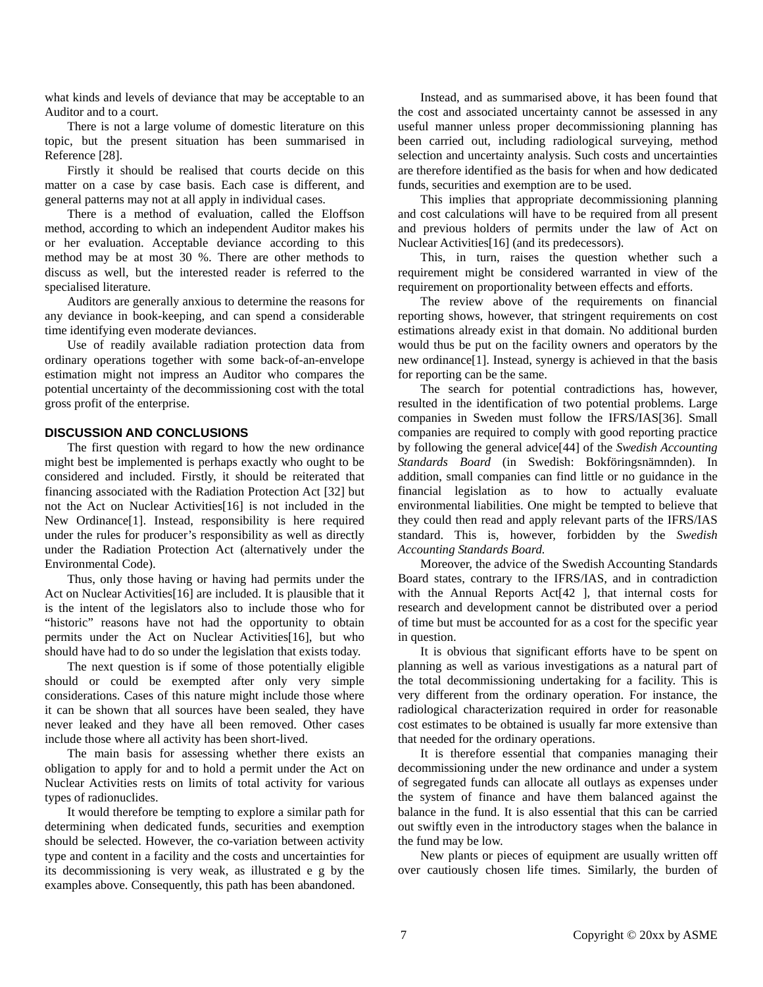what kinds and levels of deviance that may be acceptable to an Auditor and to a court.

There is not a large volume of domestic literature on this topic, but the present situation has been summarised in Reference [28].

Firstly it should be realised that courts decide on this matter on a case by case basis. Each case is different, and general patterns may not at all apply in individual cases.

There is a method of evaluation, called the Eloffson method, according to which an independent Auditor makes his or her evaluation. Acceptable deviance according to this method may be at most 30 %. There are other methods to discuss as well, but the interested reader is referred to the specialised literature.

Auditors are generally anxious to determine the reasons for any deviance in book-keeping, and can spend a considerable time identifying even moderate deviances.

Use of readily available radiation protection data from ordinary operations together with some back-of-an-envelope estimation might not impress an Auditor who compares the potential uncertainty of the decommissioning cost with the total gross profit of the enterprise.

# **DISCUSSION AND CONCLUSIONS**

The first question with regard to how the new ordinance might best be implemented is perhaps exactly who ought to be considered and included. Firstly, it should be reiterated that financing associated with the Radiation Protection Act [32] but not the Act on Nuclear Activities[16] is not included in the New Ordinance[1]. Instead, responsibility is here required under the rules for producer's responsibility as well as directly under the Radiation Protection Act (alternatively under the Environmental Code).

Thus, only those having or having had permits under the Act on Nuclear Activities[16] are included. It is plausible that it is the intent of the legislators also to include those who for "historic" reasons have not had the opportunity to obtain permits under the Act on Nuclear Activities[16], but who should have had to do so under the legislation that exists today.

The next question is if some of those potentially eligible should or could be exempted after only very simple considerations. Cases of this nature might include those where it can be shown that all sources have been sealed, they have never leaked and they have all been removed. Other cases include those where all activity has been short-lived.

The main basis for assessing whether there exists an obligation to apply for and to hold a permit under the Act on Nuclear Activities rests on limits of total activity for various types of radionuclides.

It would therefore be tempting to explore a similar path for determining when dedicated funds, securities and exemption should be selected. However, the co-variation between activity type and content in a facility and the costs and uncertainties for its decommissioning is very weak, as illustrated e g by the examples above. Consequently, this path has been abandoned.

Instead, and as summarised above, it has been found that the cost and associated uncertainty cannot be assessed in any useful manner unless proper decommissioning planning has been carried out, including radiological surveying, method selection and uncertainty analysis. Such costs and uncertainties are therefore identified as the basis for when and how dedicated funds, securities and exemption are to be used.

This implies that appropriate decommissioning planning and cost calculations will have to be required from all present and previous holders of permits under the law of Act on Nuclear Activities<sup>[16]</sup> (and its predecessors).

This, in turn, raises the question whether such a requirement might be considered warranted in view of the requirement on proportionality between effects and efforts.

The review above of the requirements on financial reporting shows, however, that stringent requirements on cost estimations already exist in that domain. No additional burden would thus be put on the facility owners and operators by the new ordinance[1]. Instead, synergy is achieved in that the basis for reporting can be the same.

The search for potential contradictions has, however, resulted in the identification of two potential problems. Large companies in Sweden must follow the IFRS/IAS[36]. Small companies are required to comply with good reporting practice by following the general advice[44] of the *Swedish Accounting Standards Board* (in Swedish: Bokföringsnämnden). In addition, small companies can find little or no guidance in the financial legislation as to how to actually evaluate environmental liabilities. One might be tempted to believe that they could then read and apply relevant parts of the IFRS/IAS standard. This is, however, forbidden by the *Swedish Accounting Standards Board.* 

Moreover, the advice of the Swedish Accounting Standards Board states, contrary to the IFRS/IAS, and in contradiction with the Annual Reports Act[42 ], that internal costs for research and development cannot be distributed over a period of time but must be accounted for as a cost for the specific year in question.

It is obvious that significant efforts have to be spent on planning as well as various investigations as a natural part of the total decommissioning undertaking for a facility. This is very different from the ordinary operation. For instance, the radiological characterization required in order for reasonable cost estimates to be obtained is usually far more extensive than that needed for the ordinary operations.

It is therefore essential that companies managing their decommissioning under the new ordinance and under a system of segregated funds can allocate all outlays as expenses under the system of finance and have them balanced against the balance in the fund. It is also essential that this can be carried out swiftly even in the introductory stages when the balance in the fund may be low.

New plants or pieces of equipment are usually written off over cautiously chosen life times. Similarly, the burden of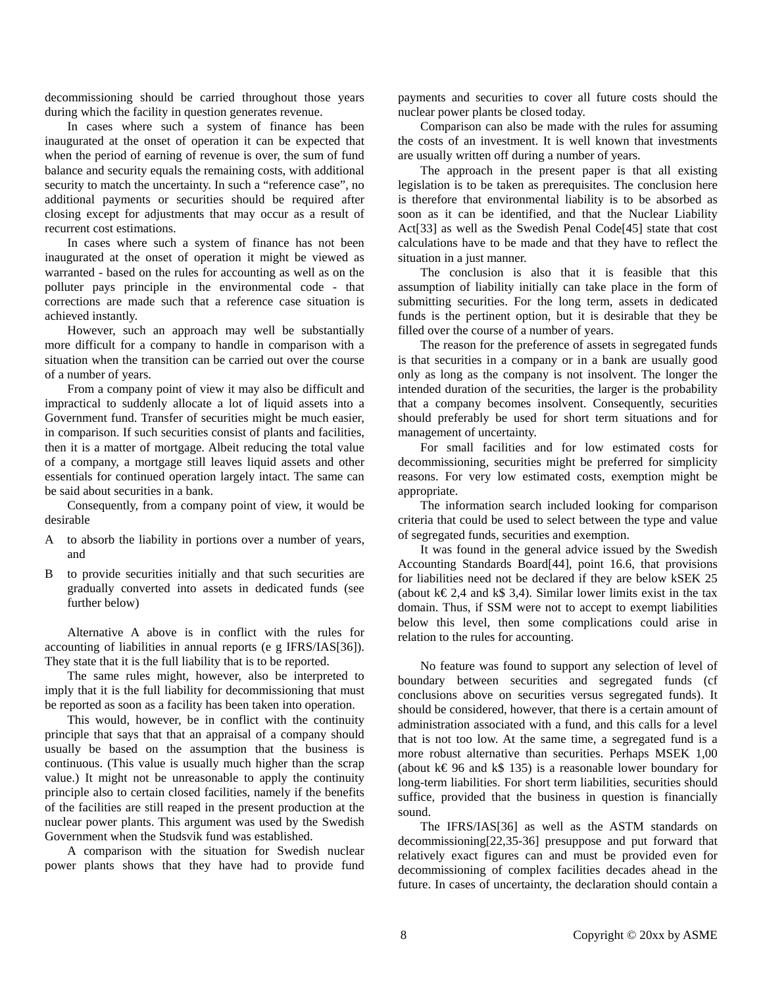decommissioning should be carried throughout those years during which the facility in question generates revenue.

In cases where such a system of finance has been inaugurated at the onset of operation it can be expected that when the period of earning of revenue is over, the sum of fund balance and security equals the remaining costs, with additional security to match the uncertainty. In such a "reference case", no additional payments or securities should be required after closing except for adjustments that may occur as a result of recurrent cost estimations.

In cases where such a system of finance has not been inaugurated at the onset of operation it might be viewed as warranted - based on the rules for accounting as well as on the polluter pays principle in the environmental code - that corrections are made such that a reference case situation is achieved instantly.

However, such an approach may well be substantially more difficult for a company to handle in comparison with a situation when the transition can be carried out over the course of a number of years.

From a company point of view it may also be difficult and impractical to suddenly allocate a lot of liquid assets into a Government fund. Transfer of securities might be much easier, in comparison. If such securities consist of plants and facilities, then it is a matter of mortgage. Albeit reducing the total value of a company, a mortgage still leaves liquid assets and other essentials for continued operation largely intact. The same can be said about securities in a bank.

Consequently, from a company point of view, it would be desirable

- A to absorb the liability in portions over a number of years, and
- B to provide securities initially and that such securities are gradually converted into assets in dedicated funds (see further below)

Alternative A above is in conflict with the rules for accounting of liabilities in annual reports (e g IFRS/IAS[36]). They state that it is the full liability that is to be reported.

The same rules might, however, also be interpreted to imply that it is the full liability for decommissioning that must be reported as soon as a facility has been taken into operation.

This would, however, be in conflict with the continuity principle that says that that an appraisal of a company should usually be based on the assumption that the business is continuous. (This value is usually much higher than the scrap value.) It might not be unreasonable to apply the continuity principle also to certain closed facilities, namely if the benefits of the facilities are still reaped in the present production at the nuclear power plants. This argument was used by the Swedish Government when the Studsvik fund was established.

A comparison with the situation for Swedish nuclear power plants shows that they have had to provide fund payments and securities to cover all future costs should the nuclear power plants be closed today.

Comparison can also be made with the rules for assuming the costs of an investment. It is well known that investments are usually written off during a number of years.

The approach in the present paper is that all existing legislation is to be taken as prerequisites. The conclusion here is therefore that environmental liability is to be absorbed as soon as it can be identified, and that the Nuclear Liability Act[33] as well as the Swedish Penal Code[45] state that cost calculations have to be made and that they have to reflect the situation in a just manner.

The conclusion is also that it is feasible that this assumption of liability initially can take place in the form of submitting securities. For the long term, assets in dedicated funds is the pertinent option, but it is desirable that they be filled over the course of a number of years.

The reason for the preference of assets in segregated funds is that securities in a company or in a bank are usually good only as long as the company is not insolvent. The longer the intended duration of the securities, the larger is the probability that a company becomes insolvent. Consequently, securities should preferably be used for short term situations and for management of uncertainty.

For small facilities and for low estimated costs for decommissioning, securities might be preferred for simplicity reasons. For very low estimated costs, exemption might be appropriate.

The information search included looking for comparison criteria that could be used to select between the type and value of segregated funds, securities and exemption.

It was found in the general advice issued by the Swedish Accounting Standards Board[44], point 16.6, that provisions for liabilities need not be declared if they are below kSEK 25 (about k $\epsilon$ 2,4 and k\$ 3,4). Similar lower limits exist in the tax domain. Thus, if SSM were not to accept to exempt liabilities below this level, then some complications could arise in relation to the rules for accounting.

No feature was found to support any selection of level of boundary between securities and segregated funds (cf conclusions above on securities versus segregated funds). It should be considered, however, that there is a certain amount of administration associated with a fund, and this calls for a level that is not too low. At the same time, a segregated fund is a more robust alternative than securities. Perhaps MSEK 1,00 (about k $\epsilon$ 96 and k\$ 135) is a reasonable lower boundary for long-term liabilities. For short term liabilities, securities should suffice, provided that the business in question is financially sound.

The IFRS/IAS[36] as well as the ASTM standards on decommissioning[22,35-36] presuppose and put forward that relatively exact figures can and must be provided even for decommissioning of complex facilities decades ahead in the future. In cases of uncertainty, the declaration should contain a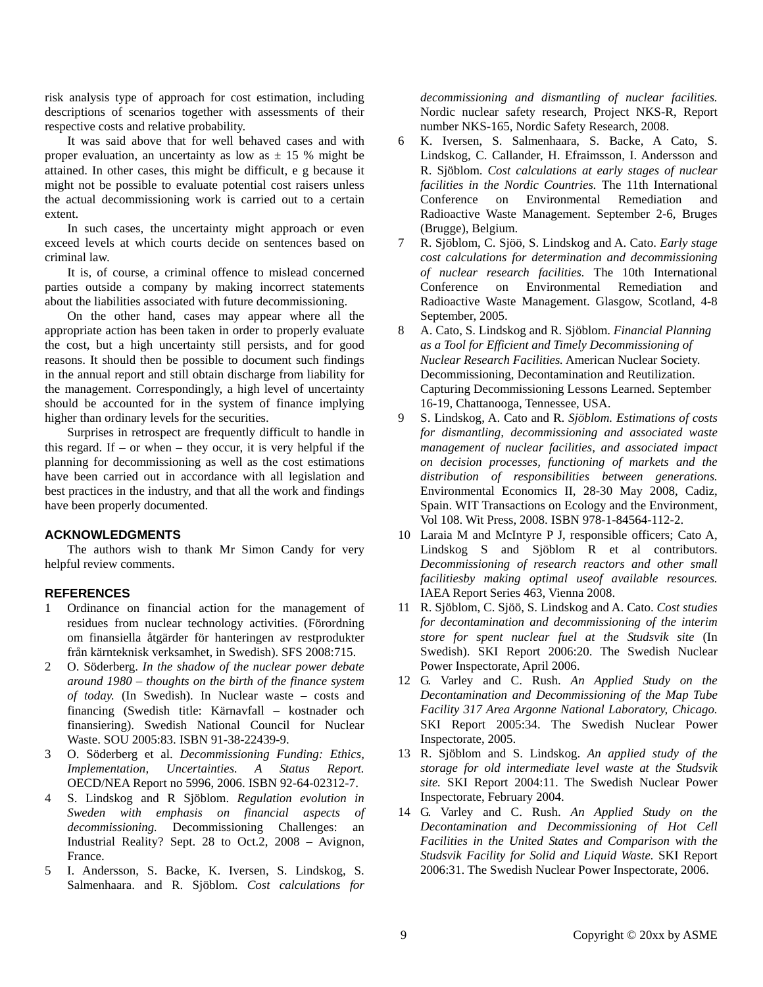risk analysis type of approach for cost estimation, including descriptions of scenarios together with assessments of their respective costs and relative probability.

It was said above that for well behaved cases and with proper evaluation, an uncertainty as low as  $\pm$  15 % might be attained. In other cases, this might be difficult, e g because it might not be possible to evaluate potential cost raisers unless the actual decommissioning work is carried out to a certain extent.

In such cases, the uncertainty might approach or even exceed levels at which courts decide on sentences based on criminal law.

It is, of course, a criminal offence to mislead concerned parties outside a company by making incorrect statements about the liabilities associated with future decommissioning.

On the other hand, cases may appear where all the appropriate action has been taken in order to properly evaluate the cost, but a high uncertainty still persists, and for good reasons. It should then be possible to document such findings in the annual report and still obtain discharge from liability for the management. Correspondingly, a high level of uncertainty should be accounted for in the system of finance implying higher than ordinary levels for the securities.

Surprises in retrospect are frequently difficult to handle in this regard. If – or when – they occur, it is very helpful if the planning for decommissioning as well as the cost estimations have been carried out in accordance with all legislation and best practices in the industry, and that all the work and findings have been properly documented.

# **ACKNOWLEDGMENTS**

The authors wish to thank Mr Simon Candy for very helpful review comments.

#### **REFERENCES**

- 1 Ordinance on financial action for the management of residues from nuclear technology activities. (Förordning om finansiella åtgärder för hanteringen av restprodukter från kärnteknisk verksamhet, in Swedish). SFS 2008:715.
- 2 O. Söderberg. *In the shadow of the nuclear power debate around 1980 – thoughts on the birth of the finance system of today.* (In Swedish). In Nuclear waste – costs and financing (Swedish title: Kärnavfall – kostnader och finansiering). Swedish National Council for Nuclear Waste. SOU 2005:83. ISBN 91-38-22439-9.
- 3 O. Söderberg et al. *Decommissioning Funding: Ethics, Implementation, Uncertainties. A Status Report.* OECD/NEA Report no 5996, 2006. ISBN 92-64-02312-7.
- 4 S. Lindskog and R Sjöblom. *Regulation evolution in Sweden with emphasis on financial aspects of decommissioning.* Decommissioning Challenges: an Industrial Reality? Sept. 28 to Oct.2, 2008 – Avignon, France.
- 5 I. Andersson, S. Backe, K. Iversen, S. Lindskog, S. Salmenhaara. and R. Sjöblom. *Cost calculations for*

*decommissioning and dismantling of nuclear facilities.* Nordic nuclear safety research, Project NKS-R, Report number NKS-165, Nordic Safety Research, 2008.

- 6 K. Iversen, S. Salmenhaara, S. Backe, A Cato, S. Lindskog, C. Callander, H. Efraimsson, I. Andersson and R. Sjöblom. *Cost calculations at early stages of nuclear facilities in the Nordic Countries.* The 11th International Conference on Environmental Remediation and Radioactive Waste Management. September 2-6, Bruges (Brugge), Belgium.
- 7 R. Sjöblom, C. Sjöö, S. Lindskog and A. Cato. *Early stage cost calculations for determination and decommissioning of nuclear research facilities.* The 10th International Conference on Environmental Remediation and Radioactive Waste Management. Glasgow, Scotland, 4-8 September, 2005.
- 8 A. Cato, S. Lindskog and R. Sjöblom. *Financial Planning as a Tool for Efficient and Timely Decommissioning of Nuclear Research Facilities.* American Nuclear Society. Decommissioning, Decontamination and Reutilization. Capturing Decommissioning Lessons Learned. September 16-19, Chattanooga, Tennessee, USA.
- 9 S. Lindskog, A. Cato and R. *Sjöblom. Estimations of costs for dismantling, decommissioning and associated waste management of nuclear facilities, and associated impact on decision processes, functioning of markets and the distribution of responsibilities between generations.*  Environmental Economics II, 28-30 May 2008, Cadiz, Spain. WIT Transactions on Ecology and the Environment, Vol 108. Wit Press, 2008. ISBN 978-1-84564-112-2.
- 10 Laraia M and McIntyre P J, responsible officers; Cato A, Lindskog S and Sjöblom R et al contributors. *Decommissioning of research reactors and other small facilitiesby making optimal useof available resources.* IAEA Report Series 463, Vienna 2008.
- 11 R. Sjöblom, C. Sjöö, S. Lindskog and A. Cato. *Cost studies for decontamination and decommissioning of the interim store for spent nuclear fuel at the Studsvik site* (In Swedish). SKI Report 2006:20. The Swedish Nuclear Power Inspectorate, April 2006.
- 12 G. Varley and C. Rush. *An Applied Study on the Decontamination and Decommissioning of the Map Tube Facility 317 Area Argonne National Laboratory, Chicago.*  SKI Report 2005:34. The Swedish Nuclear Power Inspectorate, 2005.
- 13 R. Sjöblom and S. Lindskog. *An applied study of the storage for old intermediate level waste at the Studsvik site.* SKI Report 2004:11. The Swedish Nuclear Power Inspectorate, February 2004.
- 14 G. Varley and C. Rush. *An Applied Study on the Decontamination and Decommissioning of Hot Cell Facilities in the United States and Comparison with the Studsvik Facility for Solid and Liquid Waste.* SKI Report 2006:31. The Swedish Nuclear Power Inspectorate, 2006.